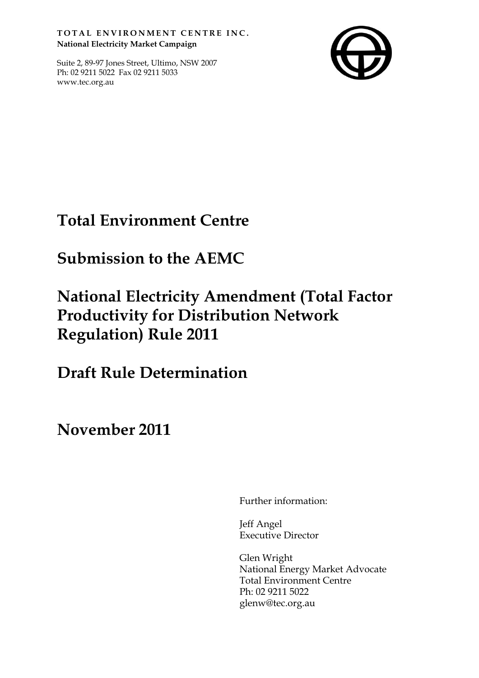TOTAL ENVIRONMENT CENTRE INC. **National Electricity Market Campaign**

Suite 2, 89-97 Jones Street, Ultimo, NSW 2007 Ph: 02 9211 5022 Fax 02 9211 5033 www.tec.org.au



# **Total Environment Centre**

# **Submission to the AEMC**

# **National Electricity Amendment (Total Factor Productivity for Distribution Network Regulation) Rule 2011**

**Draft Rule Determination**

**November 2011**

Further information:

Jeff Angel Executive Director

Glen Wright National Energy Market Advocate Total Environment Centre Ph: 02 9211 5022 glenw@tec.org.au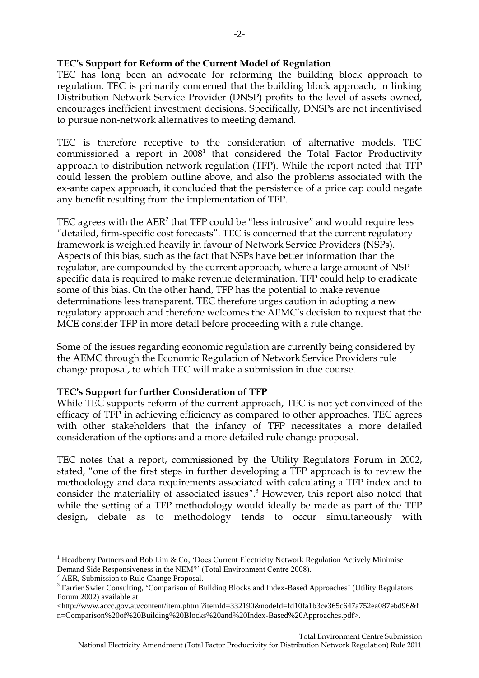### **TEC's Support for Reform of the Current Model of Regulation**

TEC has long been an advocate for reforming the building block approach to regulation. TEC is primarily concerned that the building block approach, in linking Distribution Network Service Provider (DNSP) profits to the level of assets owned, encourages inefficient investment decisions. Specifically, DNSPs are not incentivised to pursue non-network alternatives to meeting demand.

TEC is therefore receptive to the consideration of alternative models. TEC commissioned a report in 2008 $^{\rm 1}$  that considered the Total Factor Productivity approach to distribution network regulation (TFP). While the report noted that TFP could lessen the problem outline above, and also the problems associated with the ex-ante capex approach, it concluded that the persistence of a price cap could negate any benefit resulting from the implementation of TFP.

TEC agrees with the  $\rm AER^2$  that TFP could be "less intrusive" and would require less "detailed, firm-specific cost forecasts". TEC is concerned that the current regulatory framework is weighted heavily in favour of Network Service Providers (NSPs). Aspects of this bias, such as the fact that NSPs have better information than the regulator, are compounded by the current approach, where a large amount of NSPspecific data is required to make revenue determination. TFP could help to eradicate some of this bias. On the other hand, TFP has the potential to make revenue determinations less transparent. TEC therefore urges caution in adopting a new regulatory approach and therefore welcomes the AEMC's decision to request that the MCE consider TFP in more detail before proceeding with a rule change.

Some of the issues regarding economic regulation are currently being considered by the AEMC through the Economic Regulation of Network Service Providers rule change proposal, to which TEC will make a submission in due course.

#### **TEC's Support for further Consideration of TFP**

While TEC supports reform of the current approach, TEC is not yet convinced of the efficacy of TFP in achieving efficiency as compared to other approaches. TEC agrees with other stakeholders that the infancy of TFP necessitates a more detailed consideration of the options and a more detailed rule change proposal.

TEC notes that a report, commissioned by the Utility Regulators Forum in 2002, stated, "one of the first steps in further developing a TFP approach is to review the methodology and data requirements associated with calculating a TFP index and to consider the materiality of associated issues".<sup>3</sup> However, this report also noted that while the setting of a TFP methodology would ideally be made as part of the TFP design, debate as to methodology tends to occur simultaneously with

 $\overline{a}$ 

<sup>&</sup>lt;sup>1</sup> Headberry Partners and Bob Lim & Co, 'Does Current Electricity Network Regulation Actively Minimise Demand Side Responsiveness in the NEM?' (Total Environment Centre 2008).

<sup>&</sup>lt;sup>2</sup> AER, Submission to Rule Change Proposal.

<sup>&</sup>lt;sup>3</sup> Farrier Swier Consulting, 'Comparison of Building Blocks and Index-Based Approaches' (Utility Regulators Forum 2002) available at

<sup>&</sup>lt;http://www.accc.gov.au/content/item.phtml?itemId=332190&nodeId=fd10fa1b3ce365c647a752ea087ebd96&f n=Comparison%20of%20Building%20Blocks%20and%20Index-Based%20Approaches.pdf>.